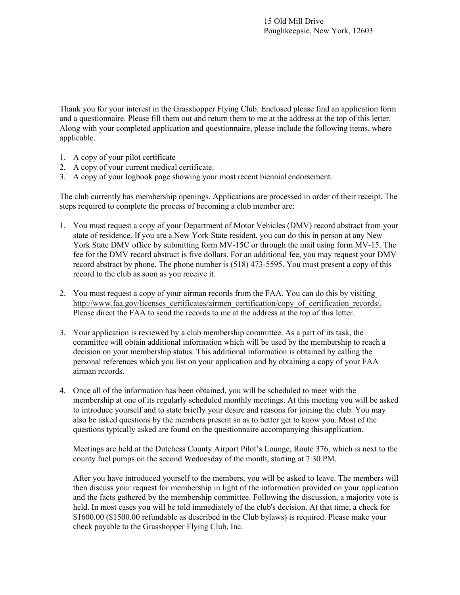Thank you for your interest in the Grasshopper Flying Club. Enclosed please find an application form and a questionnaire. Please fill them out and return them to me at the address at the top of this letter. Along with your completed application and questionnaire, please include the following items, where applicable.

- 1. A copy of your pilot certificate
- 2. A copy of your current medical certificate.
- 3. A copy of your logbook page showing your most recent biennial endorsement.

The club currently has membership openings. Applications are processed in order of their receipt. The steps required to complete the process of becoming a club member are:

- 1. You must request a copy of your Department of Motor Vehicles (DMV) record abstract from your state of residence. If you are a New York State resident, you can do this in person at any New York State DMV office by submitting form MV-15C or through the mail using form MV-15. The fee for the DMV record abstract is five dollars. For an additional fee, you may request your DMV record abstract by phone. The phone number is (518) 473-5595. You must present a copy of this record to the club as soon as you receive it.
- 2. You must request a copy of your airman records from the FAA. You can do this by visiting http://www.faa.gov/licenses\_certificates/airmen\_certification/copy\_of\_certification\_records/. Please direct the FAA to send the records to me at the address at the top of this letter.
- 3. Your application is reviewed by a club membership committee. As a part of its task, the committee will obtain additional information which will be used by the membership to reach a decision on your membership status. This additional information is obtained by calling the personal references which you list on your application and by obtaining a copy of your FAA airman records.
- 4. Once all of the information has been obtained, you will be scheduled to meet with the membership at one of its regularly scheduled monthly meetings. At this meeting you will be asked to introduce yourself and to state briefly your desire and reasons for joining the club. You may also be asked questions by the members present so as to better get to know you. Most of the questions typically asked are found on the questionnaire accompanying this application.

Meetings are held at the Dutchess County Airport Pilot's Lounge, Route 376, which is next to the county fuel pumps on the second Wednesday of the month, starting at 7:30 PM.

After you have introduced yourself to the members, you will be asked to leave. The members will then discuss your request for membership in light of the information provided on your application and the facts gathered by the membership committee. Following the discussion, a majority vote is held. In most cases you will be told immediately of the club's decision. At that time, a check for \$1600.00 (\$1500.00 refundable as described in the Club bylaws) is required. Please make your check payable to the Grasshopper Flying Club, Inc.